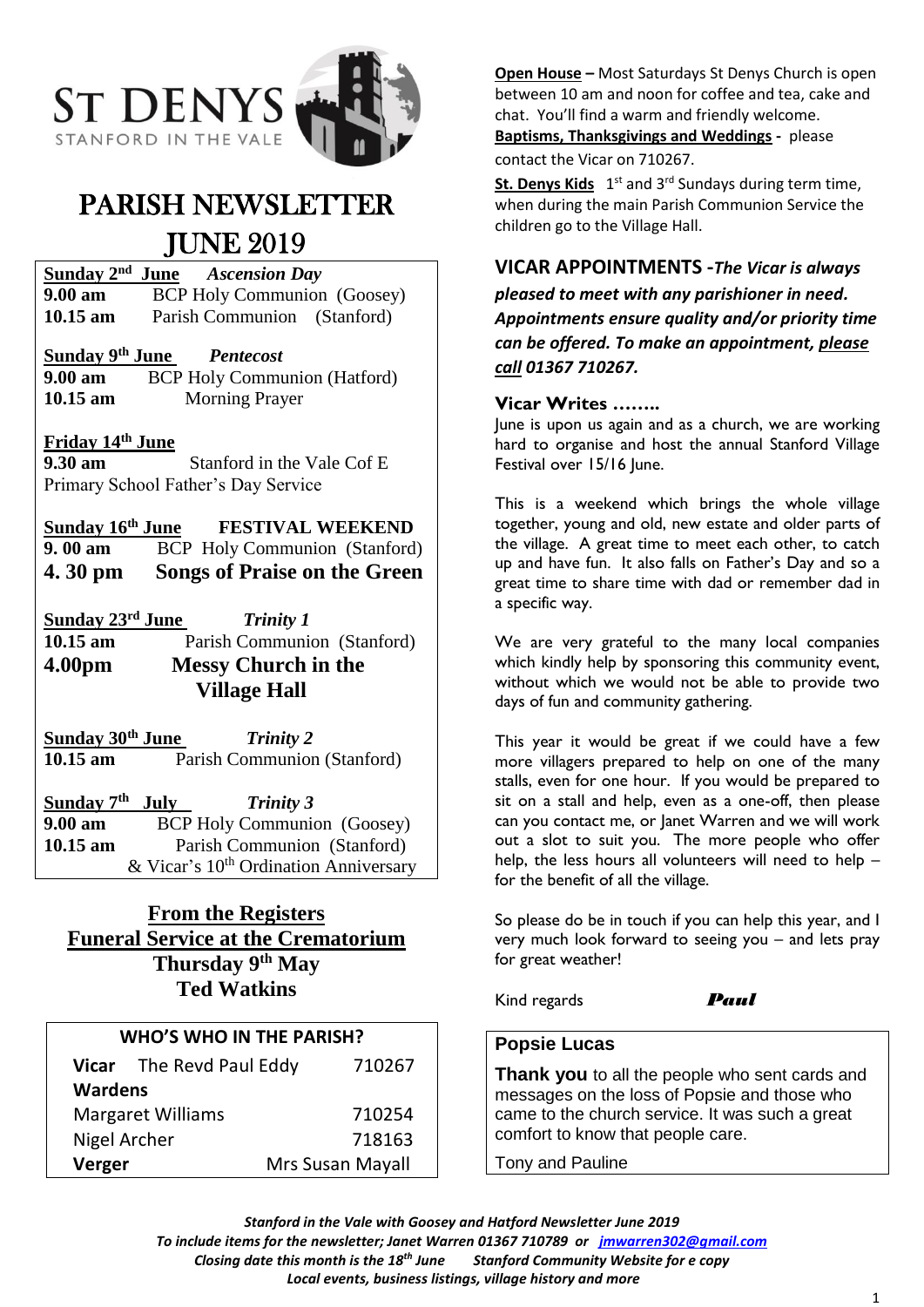

# PARISH NEWSLETTER JUNE 2019

**Sunday 2** *Ascension Day* **9.00 am** BCP Holy Communion (Goosey) **10.15 am** Parish Communion (Stanford)

## **Sunday 9 th June** *Pentecost*

**9.00 am** BCP Holy Communion (Hatford) **10.15 am** Morning Prayer

## **Friday 14 th June**

**9.30 am Stanford in the Vale Cof E** Primary School Father's Day Service

Sunday 16<sup>th</sup> June **FESTIVAL WEEKEND 9. 00 am** BCP Holy Communion (Stanford) **4. 30 pm Songs of Praise on the Green**

**Sunday 23<sup>rd</sup> June**<br>10.15 am **H** *Trinity 1* Parish Communion (Stanford) **4.00pm Messy Church in the Village Hall**

**Sunday 30th June** *Trinity 2* 10.15 am Parish Communion (Stanford)

**Sunday 7 th** *Trinity 3* **9.00 am** BCP Holy Communion (Goosey) **10.15 am** Parish Communion (Stanford)  $& Vicar's 10<sup>th</sup> Ordination Anniversary$ 

## **From the Registers Funeral Service at the Crematorium Thursday 9th May Ted Watkins**

### **WHO'S WHO IN THE PARISH?**

| Vicar The Revd Paul Eddy |  | 710267           |
|--------------------------|--|------------------|
| <b>Wardens</b>           |  |                  |
| <b>Margaret Williams</b> |  | 710254           |
| Nigel Archer             |  | 718163           |
| Verger                   |  | Mrs Susan Mayall |

**Open House –** Most Saturdays St Denys Church is open between 10 am and noon for coffee and tea, cake and chat. You'll find a warm and friendly welcome. **Baptisms, Thanksgivings and Weddings -** please contact the Vicar on 710267.

St. Denys Kids 1<sup>st</sup> and 3<sup>rd</sup> Sundays during term time, when during the main Parish Communion Service the children go to the Village Hall.

## **VICAR APPOINTMENTS -***The Vicar is always*

*pleased to meet with any parishioner in need. Appointments ensure quality and/or priority time can be offered. To make an appointment, please call 01367 710267.*

### **Vicar Writes ……..**

June is upon us again and as a church, we are working hard to organise and host the annual Stanford Village Festival over 15/16 June.

This is a weekend which brings the whole village together, young and old, new estate and older parts of the village. A great time to meet each other, to catch up and have fun. It also falls on Father's Day and so a great time to share time with dad or remember dad in a specific way.

We are very grateful to the many local companies which kindly help by sponsoring this community event, without which we would not be able to provide two days of fun and community gathering.

This year it would be great if we could have a few more villagers prepared to help on one of the many stalls, even for one hour. If you would be prepared to sit on a stall and help, even as a one-off, then please can you contact me, or Janet Warren and we will work out a slot to suit you. The more people who offer help, the less hours all volunteers will need to help – for the benefit of all the village.

So please do be in touch if you can help this year, and I very much look forward to seeing you – and lets pray for great weather!

Kind regards *Paul*

## **Popsie Lucas**

**Thank you** to all the people who sent cards and messages on the loss of Popsie and those who came to the church service. It was such a great comfort to know that people care.

Tony and Pauline

*Stanford in the Vale with Goosey and Hatford Newsletter June 2019*

*To include items for the newsletter; Janet Warren 01367 710789 or [jmwarren302@gmail.com](mailto:jmwarren302@gmail.com)*

*Closing date this month is the 18th June Stanford Community Website for e copy* 

*Local events, business listings, village history and more*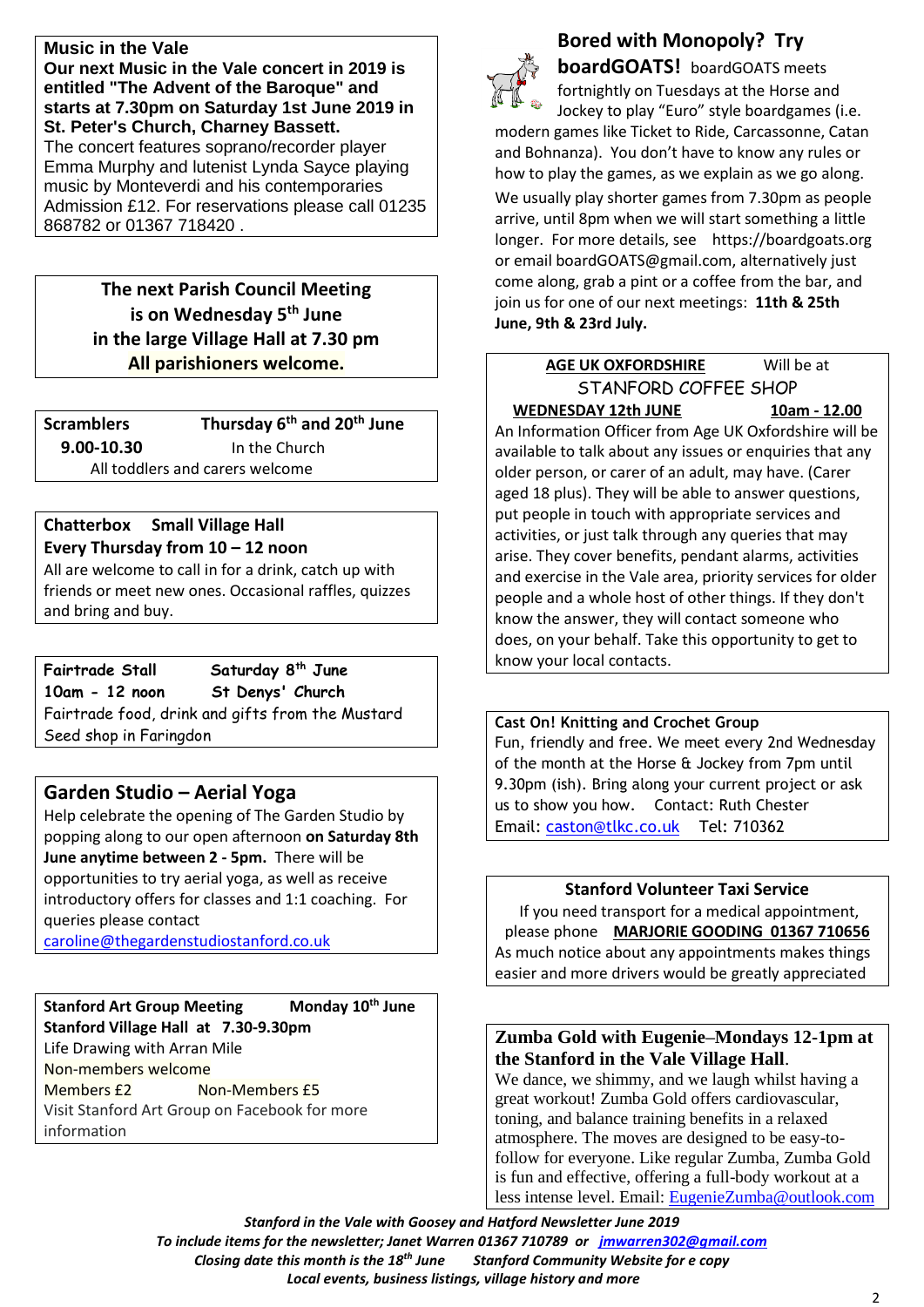## **Music in the Vale**

**Our next Music in the Vale concert in 2019 is entitled "The Advent of the Baroque" and starts at 7.30pm on Saturday 1st June 2019 in St. Peter's Church, Charney Bassett.** The concert features soprano/recorder player Emma Murphy and lutenist Lynda Sayce playing music by Monteverdi and his contemporaries Admission £12. For reservations please call 01235 868782 or 01367 718420 .

> **The next Parish Council Meeting is on Wednesday 5 th June in the large Village Hall at 7.30 pm All parishioners welcome.**

**Scramblers Thursday 6 th and 20th June 9.00-10.30** In the Church All toddlers and carers welcome

#### **Chatterbox Small Village Hall Every Thursday from 10 – 12 noon**

All are welcome to call in for a drink, catch up with friends or meet new ones. Occasional raffles, quizzes and bring and buy.

**Fairtrade Stall** Saturday 8<sup>th</sup> June **10am - 12 noon St Denys' Church** Fairtrade food, drink and gifts from the Mustard Seed shop in Faringdon

## **Garden Studio – Aerial Yoga**

Help celebrate the opening of The Garden Studio by popping along to our open afternoon **on Saturday 8th June anytime between 2 - 5pm.** There will be opportunities to try aerial yoga, as well as receive introductory offers for classes and 1:1 coaching. For queries please contact

[caroline@thegardenstudiostanford.co.uk](mailto:caroline@thegardenstudiostanford.co.uk)

**Stanford Art Group Meeting Monday 10th June Stanford Village Hall at 7.30-9.30pm** Life Drawing with Arran Mile Non-members welcome Members £2 Non-Members £5 Visit Stanford Art Group on Facebook for more information



## **Bored with Monopoly? Try**

**boardGOATS!** boardGOATS meets fortnightly on Tuesdays at the Horse and Jockey to play "Euro" style boardgames (i.e.

modern games like Ticket to Ride, Carcassonne, Catan and Bohnanza). You don't have to know any rules or how to play the games, as we explain as we go along. We usually play shorter games from 7.30pm as people

arrive, until 8pm when we will start something a little longer. For more details, see https://boardgoats.org or email boardGOATS@gmail.com, alternatively just come along, grab a pint or a coffee from the bar, and join us for one of our next meetings: **11th & 25th June, 9th & 23rd July.**

## **AGE UK OXFORDSHIRE** Will be at STANFORD COFFEE SHOP **WEDNESDAY 12th JUNE 10am - 12.00**

An Information Officer from Age UK Oxfordshire will be available to talk about any issues or enquiries that any older person, or carer of an adult, may have. (Carer aged 18 plus). They will be able to answer questions, put people in touch with appropriate services and activities, or just talk through any queries that may arise. They cover benefits, pendant alarms, activities and exercise in the Vale area, priority services for older people and a whole host of other things. If they don't know the answer, they will contact someone who does, on your behalf. Take this opportunity to get to know your local contacts.

**Cast On! Knitting and Crochet Group** Fun, friendly and free. We meet every 2nd Wednesday of the month at the Horse & Jockey from 7pm until 9.30pm (ish). Bring along your current project or ask us to show you how. Contact: Ruth Chester

Email: [caston@tlkc.co.uk](mailto:caston@tlkc.co.uk) Tel: 710362

## **Stanford Volunteer Taxi Service**

If you need transport for a medical appointment, please phone **MARJORIE GOODING 01367 710656** As much notice about any appointments makes things easier and more drivers would be greatly appreciated

## **Zumba Gold with Eugenie–Mondays 12-1pm at the Stanford in the Vale Village Hall**.

We dance, we shimmy, and we laugh whilst having a great workout! Zumba Gold offers cardiovascular, toning, and balance training benefits in a relaxed atmosphere. The moves are designed to be easy-tofollow for everyone. Like regular Zumba, Zumba Gold is fun and effective, offering a full-body workout at a less intense level. Email: [EugenieZumba@outlook.com](mailto:EugenieZumba@outlook.com)

*Stanford in the Vale with Goosey and Hatford Newsletter June 2019 To include items for the newsletter; Janet Warren 01367 710789 or [jmwarren302@gmail.com](mailto:jmwarren302@gmail.com) Closing date this month is the 18th June Stanford Community Website for e copy Local events, business listings, village history and more*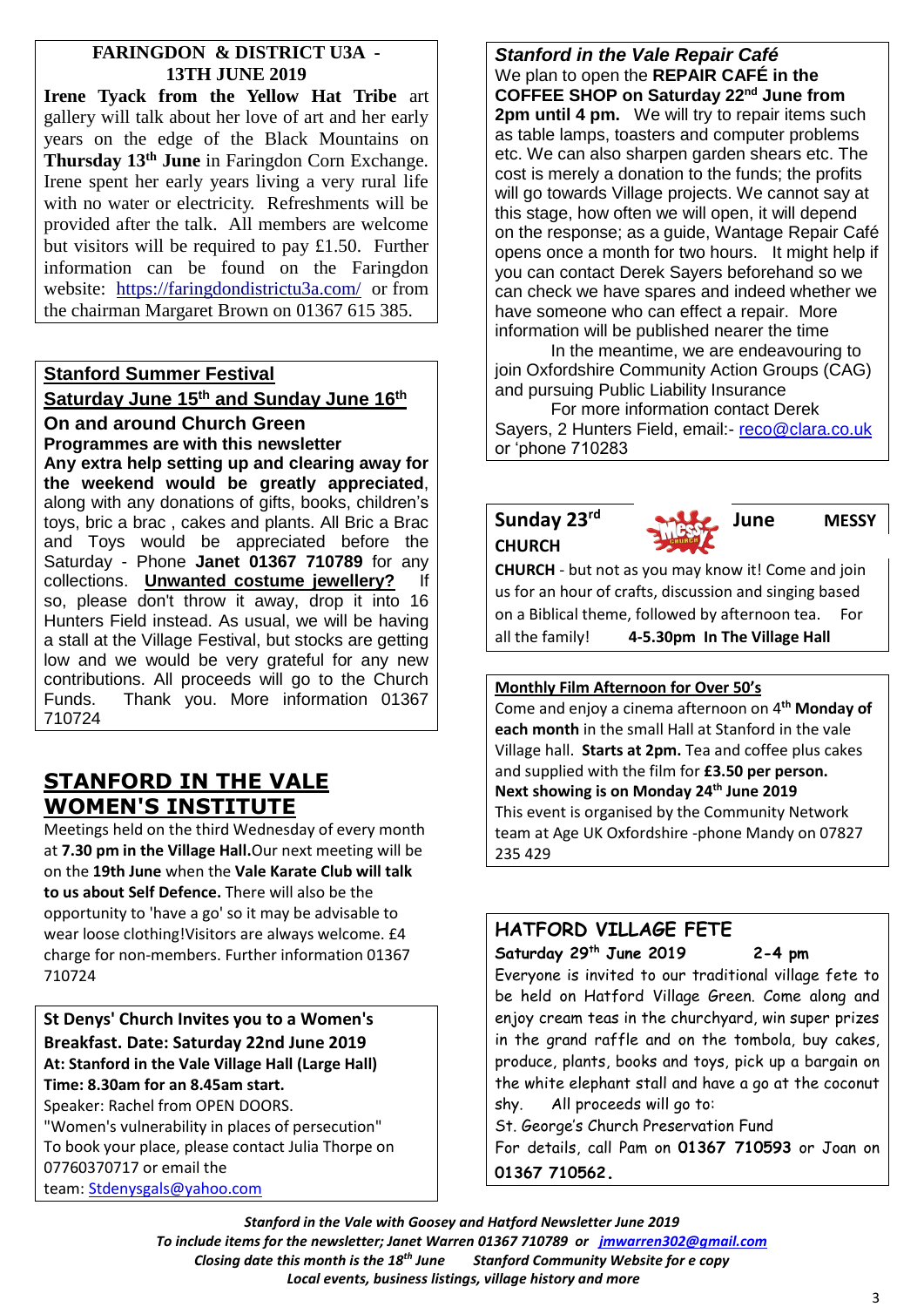## **FARINGDON & DISTRICT U3A - 13TH JUNE 2019**

**Irene Tyack from the Yellow Hat Tribe** art gallery will talk about her love of art and her early years on the edge of the Black Mountains on **Thursday 13th June** in Faringdon Corn Exchange. Irene spent her early years living a very rural life with no water or electricity. Refreshments will be provided after the talk. All members are welcome but visitors will be required to pay £1.50. Further information can be found on the Faringdon website: <https://faringdondistrictu3a.com/>or from the chairman Margaret Brown on 01367 615 385.

## **Stanford Summer Festival Saturday June 15 th and Sunday June 16 th On and around Church Green**

**Programmes are with this newsletter Any extra help setting up and clearing away for the weekend would be greatly appreciated**, along with any donations of gifts, books, children's toys, bric a brac , cakes and plants. All Bric a Brac and Toys would be appreciated before the Saturday - Phone **Janet 01367 710789** for any collections. **Unwanted costume jewellery?** If so, please don't throw it away, drop it into 16 Hunters Field instead. As usual, we will be having a stall at the Village Festival, but stocks are getting low and we would be very grateful for any new contributions. All proceeds will go to the Church Funds. Thank you. More information 01367 710724

## **STANFORD IN THE VALE WOMEN'S INSTITUTE**

Meetings held on the third Wednesday of every month at **7.30 pm in the Village Hall.**Our next meeting will be on the **19th June** when the **Vale Karate Club will talk to us about Self Defence.** There will also be the opportunity to 'have a go' so it may be advisable to wear loose clothing!Visitors are always welcome. £4 charge for non-members. Further information 01367 710724

**St Denys' Church Invites you to a Women's Breakfast. Date: Saturday 22nd June 2019 At: Stanford in the Vale Village Hall (Large Hall) Time: 8.30am for an 8.45am start.** Speaker: Rachel from OPEN DOORS.

"Women's vulnerability in places of persecution" To book your place, please contact Julia Thorpe on 07760370717 or email the team: [Stdenysgals@yahoo.com](mailto:Stdenysgals@yahoo.com)

*Stanford in the Vale Repair Café* We plan to open the **REPAIR CAFÉ in the COFFEE SHOP on Saturday 22nd June from 2pm until 4 pm.** We will try to repair items such as table lamps, toasters and computer problems etc. We can also sharpen garden shears etc. The cost is merely a donation to the funds; the profits will go towards Village projects. We cannot say at this stage, how often we will open, it will depend on the response; as a guide, Wantage Repair Café opens once a month for two hours. It might help if you can contact Derek Sayers beforehand so we can check we have spares and indeed whether we have someone who can effect a repair. More information will be published nearer the time

In the meantime, we are endeavouring to join Oxfordshire Community Action Groups (CAG) and pursuing Public Liability Insurance

For more information contact Derek Sayers, 2 Hunters Field, email:- [reco@clara.co.uk](mailto:reco@clara.co.uk) or 'phone 710283

## **Sunday 23 CHURCH**



**rd June MESSY** 

**CHURCH** - but not as you may know it! Come and join us for an hour of crafts, discussion and singing based on a Biblical theme, followed by afternoon tea. For all the family! **4-5.30pm In The Village Hall**

## **Monthly Film Afternoon for Over 50's**

Come and enjoy a cinema afternoon on 4**th Monday of each month** in the small Hall at Stanford in the vale Village hall. **Starts at 2pm.** Tea and coffee plus cakes and supplied with the film for **£3.50 per person. Next showing is on Monday 24 th June 2019** This event is organised by the Community Network team at Age UK Oxfordshire -phone Mandy on 07827 235 429

## **HATFORD VILLAGE FETE**

**Saturday 29th June 2019 2-4 pm**

Everyone is invited to our traditional village fete to be held on Hatford Village Green. Come along and enjoy cream teas in the churchyard, win super prizes in the grand raffle and on the tombola, buy cakes, produce, plants, books and toys, pick up a bargain on the white elephant stall and have a go at the coconut shy. All proceeds will go to:

St. George's Church Preservation Fund For details, call Pam on **01367 710593** or Joan on **01367 710562.**

*Stanford in the Vale with Goosey and Hatford Newsletter June 2019 To include items for the newsletter; Janet Warren 01367 710789 or [jmwarren302@gmail.com](mailto:jmwarren302@gmail.com) Closing date this month is the 18th June Stanford Community Website for e copy Local events, business listings, village history and more*